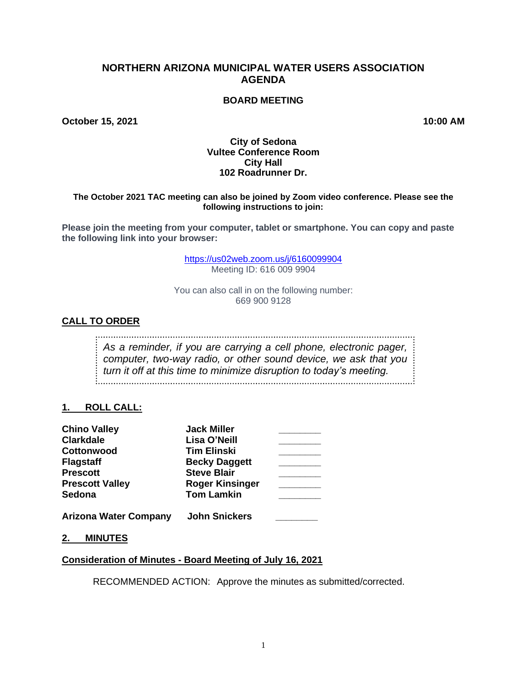# **NORTHERN ARIZONA MUNICIPAL WATER USERS ASSOCIATION AGENDA**

## **BOARD MEETING**

**October 15, 2021 10:00 AM**

#### **City of Sedona Vultee Conference Room City Hall 102 Roadrunner Dr.**

#### **The October 2021 TAC meeting can also be joined by Zoom video conference. Please see the following instructions to join:**

**Please join the meeting from your computer, tablet or smartphone. You can copy and paste the following link into your browser:**

> <https://us02web.zoom.us/j/6160099904> Meeting ID: 616 009 9904

You can also call in on the following number: 669 900 9128

## **CALL TO ORDER**

*As a reminder, if you are carrying a cell phone, electronic pager, computer, two-way radio, or other sound device, we ask that you turn it off at this time to minimize disruption to today's meeting.*

## **1. ROLL CALL:**

| <b>Chino Valley</b>          | <b>Jack Miller</b>     |  |
|------------------------------|------------------------|--|
| <b>Clarkdale</b>             | Lisa O'Neill           |  |
| <b>Cottonwood</b>            | <b>Tim Elinski</b>     |  |
| <b>Flagstaff</b>             | <b>Becky Daggett</b>   |  |
| <b>Prescott</b>              | <b>Steve Blair</b>     |  |
| <b>Prescott Valley</b>       | <b>Roger Kinsinger</b> |  |
| Sedona                       | <b>Tom Lamkin</b>      |  |
| <b>Arizona Water Company</b> | <b>John Snickers</b>   |  |

**2. MINUTES**

#### **Consideration of Minutes - Board Meeting of July 16, 2021**

RECOMMENDED ACTION: Approve the minutes as submitted/corrected.